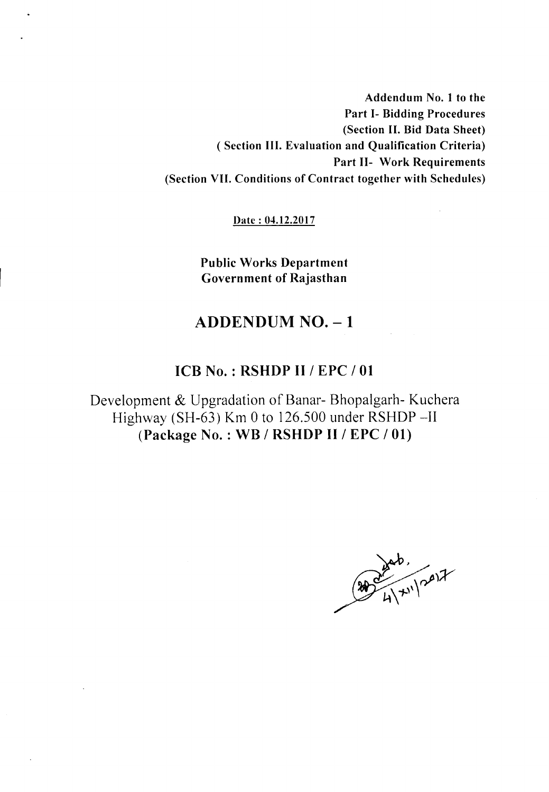Addendum No. I to the Part 1- Bidding Procedures (Section II. Bid Data Sheet) ( Section III. Evaluation and Qualification Criteria) Part 11- Work Requirements (Section VII. Conditions of Contract together with Schedules)

Date: 04.12.2017

Public Works Department Government of Rajasthan

# ADDENDUM NO. - 1

# ICB No. : RSHDP II / EPC / 01

Development & Upgradation of Banar- Bhopalgarh- Kuchera Highway (SH-63) Km 0 to 126.500 under RSHDP-II (Package No. : WB / RSHDP II / EPC / 01)

 $(200/11)^{ab}$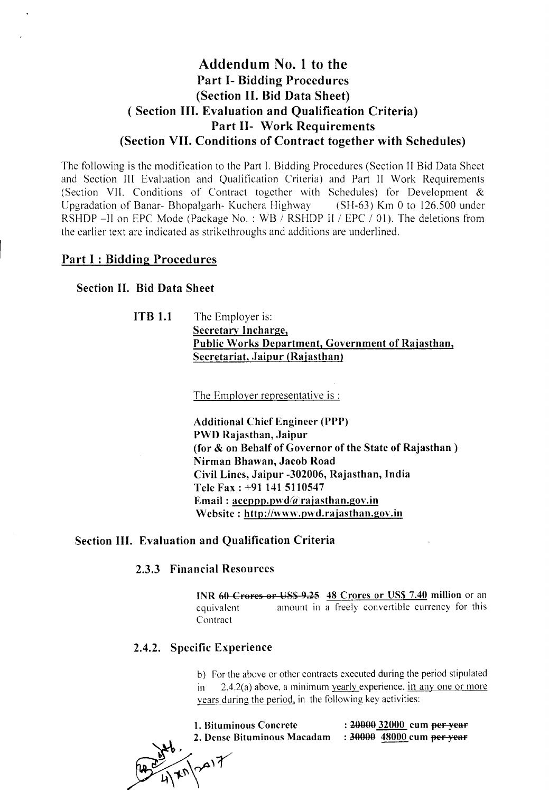# Addendum No.1 to the Part 1- Bidding Procedures (Section II. Bid Data Sheet) ( Section III. Evaluation and Qualification Criteria) Part 11- Work Requirements (Section VII. Conditions of Contract together with Schedules)

The following is the modification to the Part I. Bidding Procedures (Section II Bid Data Sheet and Section III Evaluation and Qualification Criteria) and Part II Work Requirements (Section VII. Conditions of Contract together with Schedules) for Development & Upgradation of Banar- Bhopalgarh- Kuchera Highway (SH-63) Km 0 to 126.500 under RSHDP -II on EPC Mode (Package No.: WB / RSHDP II / EPC / 01). The deletions from the earlier text are indicated as strikcthroughs and additions are underlined.

## Part I : Bidding Procedures

#### Section II. Bid Data Sheet

**ITB 1.1** The Employer is: Secretary Incharge, Public Works Department, Government of Rajasthan, Secretariat, Jaipur (Rajasthan)

The Employer representative is :

Additional Chief Engineer (PPP) PWD Rajasthan, Jaipur (for & on Behalf of Governor of the State of Rajasthan) Nirman Bhawan, Jacob Road Civil Lines, Jaipur -302006, Rajasthan, India Tele Fax: +91 141 5110547 Email:  $a$ ceppp.pwd $(a)$ rajasthan.gov.in Website: http://www.pwd.rajasthan.gov.in

### Section III. Evaluation and Qualification Criteria

### 2.3.3 Financial Resources

INR 60-Crores or US\$-9.25 48 Crores or US\$ 7.40 million or an equivalent Contract amount in a freely convertible currency for this

## 2.4.2. Specific Experience

b) For the above or other contracts executed during the period stipulated  $2.4.2(a)$  above, a minimum vearly experience, in any one or more years during the period, in the following key activities:

| 1. Bituminous Concrete      | : 20000 32000 cum <del>per year</del> |
|-----------------------------|---------------------------------------|
| 2. Dense Bituminous Macadam | : 30000 48000 cum <del>per year</del> |

 $(1, 1)^{170}$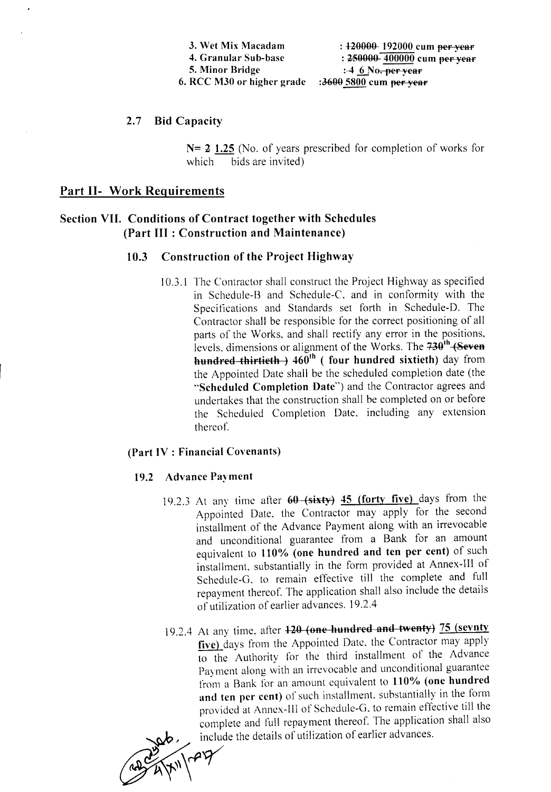| 3. Wet Mix Macadam         | $\pm 120000$ 192000 cum per year |
|----------------------------|----------------------------------|
| 4. Granular Sub-base       | : 250000 400000 cum per year     |
| 5. Minor Bridge            | $:46$ No. per year               |
| 6. RCC M30 or higher grade | :3600 5800 cum per year          |

2.7 Bid Capacity

 $N= 2$  1.25 (No. of years prescribed for completion of works for which bids are invited)

# Part II- Work Requirements

# Section VII. Conditions of Contract together with Schedules (Part III : Construction and Maintenance)

## 10.3 Construction of the Project Highway

10.3.1 The Contractor shall construct the Project Highway as specified in Schedule-B and Schedule-C. and in conformity with the Specifications and Standards set forth in Schedule-D. The Contractor shall be responsible for the correct positioning of all parts of the Works, and shall rectify any error in the positions, levels, dimensions or alignment of the Works. The  $730^{th}$  (Seven hundred thirtieth  $(1 + 460^{th})$  (four hundred sixtieth) day from the Appointed Date shall be the scheduled completion date (the "Scheduled Completion Date") and the Contractor agrees and undertakes that the construction shall be completed on or before the Scheduled Completion Date. including any extension thereof.

#### (Part IV : Financial Covenants)

#### 19.2 Advance Payment

- 19.2.3 At any time after  $60$  (sixty) 45 (forty five) days from the Appointed Date. the Contractor may apply for the second installment of the Advance Payment along with an irrevocable and unconditional guarantee from a Bank for an amount equivalent to 110% (one hundred and ten per cent) of such installment, substantially in the form provided at Annex-III of Schedule-G. to remain effective till the complete and full repayment thereof. The application shall also include the details of utilization of earlier advances. 19.2.4
- 19.2.4 At any time. after 120 (one hundred and twenty) 75 (sevnty five) days from the Appointed Date, the Contractor may apply to the Authority for the third installment of the Advance Payment along with an irrevocable and unconditional guarantee from a Bank for an amount equivalent to 110% (one hundred and ten per cent) of such installment. suhstantially in the form provided at Annex-III of Schedule-G. to remain effective till the complete and full repayment thereof. The application shall also include the details of utilization of earlier advances.

~ ~~~~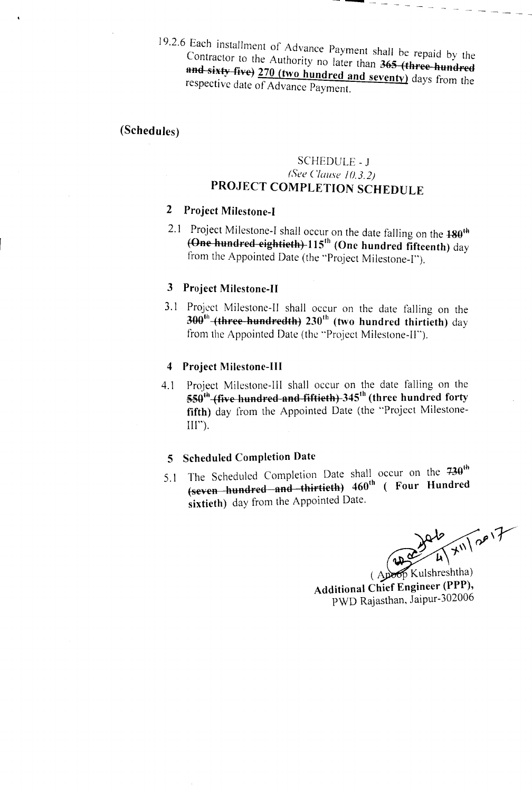$\frac{19.21}{6}$  Each installment of Advance Payment shall be repaid by the Contractor to the Authority no later than 365 (three hundred and sixty five) 270 (two hundred and seventy) days from the respective date of Advance Payment.

# (Schedules)

# SCHEDULE - J *(See Clause 10.*3. 2) PROJECT COMPLETION SCHEDULE

# 2 Project Milestone-I

2.1 Project Milestone-I shall occur on the date falling on the  $180^{th}$ (One hundred eightieth) 115<sup>th</sup> (One hundred fifteenth) day from the Appointed Date (the "Project Milestone-I").

#### 3 Project Milestone-II

3. I Project Milestone-II shall occur on the date falling on the  $300<sup>th</sup>$  (three hundredth) 230<sup>th</sup> (two hundred thirtieth) day from the Appointed Date (the "Project Milestone-If").

#### 4 Project Milestone-III

4. I Project Milestone-III shall occur on the date falling on the Froject intestone in share occur on the cate taning on and  $550^{th}$  (five hundred forty fifth) day from the Appointed Date (the "Project Milestone- $III$ ").

## 5 Scheduled Completion Date

5.1 The Scheduled Completion Date shall occur on the  $730<sup>th</sup>$ (seven hundred and thirtieth) 460<sup>th</sup> ( Four Hundre sixtieth) day from the Appointed Date.

 $\sqrt{\frac{286}{4}}$  X<sup>11</sup>/2017

Additional Chief Engineer (PPP), PWD Rajasthan, Jaipur-302006